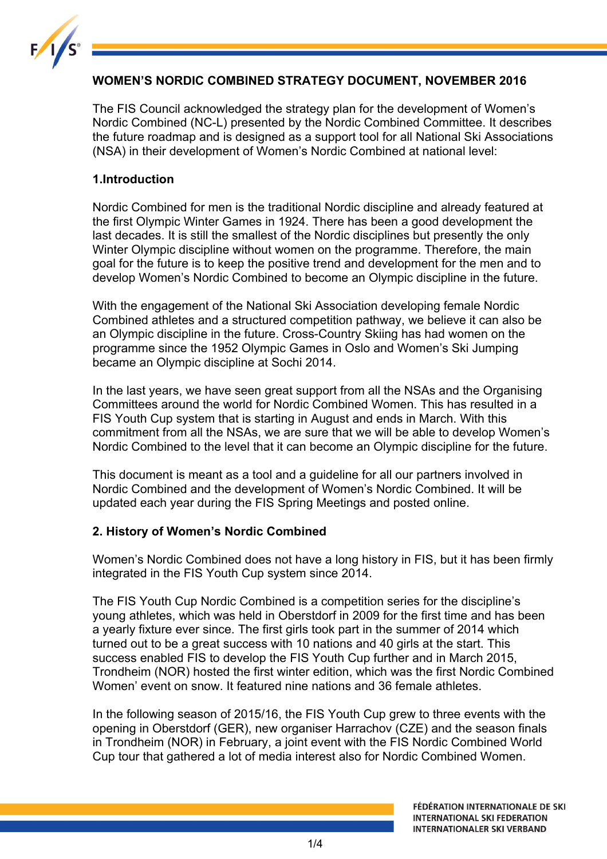

## **WOMEN'S NORDIC COMBINED STRATEGY DOCUMENT, NOVEMBER 2016**

The FIS Council acknowledged the strategy plan for the development of Women's Nordic Combined (NC-L) presented by the Nordic Combined Committee. It describes the future roadmap and is designed as a support tool for all National Ski Associations (NSA) in their development of Women's Nordic Combined at national level:

### **1.Introduction**

Nordic Combined for men is the traditional Nordic discipline and already featured at the first Olympic Winter Games in 1924. There has been a good development the last decades. It is still the smallest of the Nordic disciplines but presently the only Winter Olympic discipline without women on the programme. Therefore, the main goal for the future is to keep the positive trend and development for the men and to develop Women's Nordic Combined to become an Olympic discipline in the future.

With the engagement of the National Ski Association developing female Nordic Combined athletes and a structured competition pathway, we believe it can also be an Olympic discipline in the future. Cross-Country Skiing has had women on the programme since the 1952 Olympic Games in Oslo and Women's Ski Jumping became an Olympic discipline at Sochi 2014.

In the last years, we have seen great support from all the NSAs and the Organising Committees around the world for Nordic Combined Women. This has resulted in a FIS Youth Cup system that is starting in August and ends in March. With this commitment from all the NSAs, we are sure that we will be able to develop Women's Nordic Combined to the level that it can become an Olympic discipline for the future.

This document is meant as a tool and a guideline for all our partners involved in Nordic Combined and the development of Women's Nordic Combined. It will be updated each year during the FIS Spring Meetings and posted online.

## **2. History of Women's Nordic Combined**

Women's Nordic Combined does not have a long history in FIS, but it has been firmly integrated in the FIS Youth Cup system since 2014.

The FIS Youth Cup Nordic Combined is a competition series for the discipline's young athletes, which was held in Oberstdorf in 2009 for the first time and has been a yearly fixture ever since. The first girls took part in the summer of 2014 which turned out to be a great success with 10 nations and 40 girls at the start. This success enabled FIS to develop the FIS Youth Cup further and in March 2015, Trondheim (NOR) hosted the first winter edition, which was the first Nordic Combined Women' event on snow. It featured nine nations and 36 female athletes.

In the following season of 2015/16, the FIS Youth Cup grew to three events with the opening in Oberstdorf (GER), new organiser Harrachov (CZE) and the season finals in Trondheim (NOR) in February, a joint event with the FIS Nordic Combined World Cup tour that gathered a lot of media interest also for Nordic Combined Women.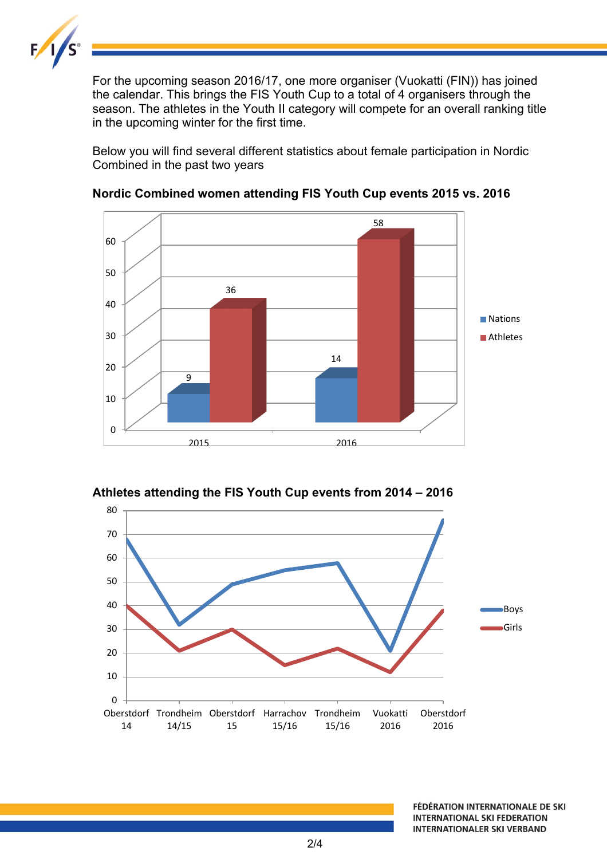

For the upcoming season 2016/17, one more organiser (Vuokatti (FIN)) has joined the calendar. This brings the FIS Youth Cup to a total of 4 organisers through the season. The athletes in the Youth II category will compete for an overall ranking title in the upcoming winter for the first time.

Below you will find several different statistics about female participation in Nordic Combined in the past two years



#### **Nordic Combined women attending FIS Youth Cup events 2015 vs. 2016**

**Athletes attending the FIS Youth Cup events from 2014 – 2016**

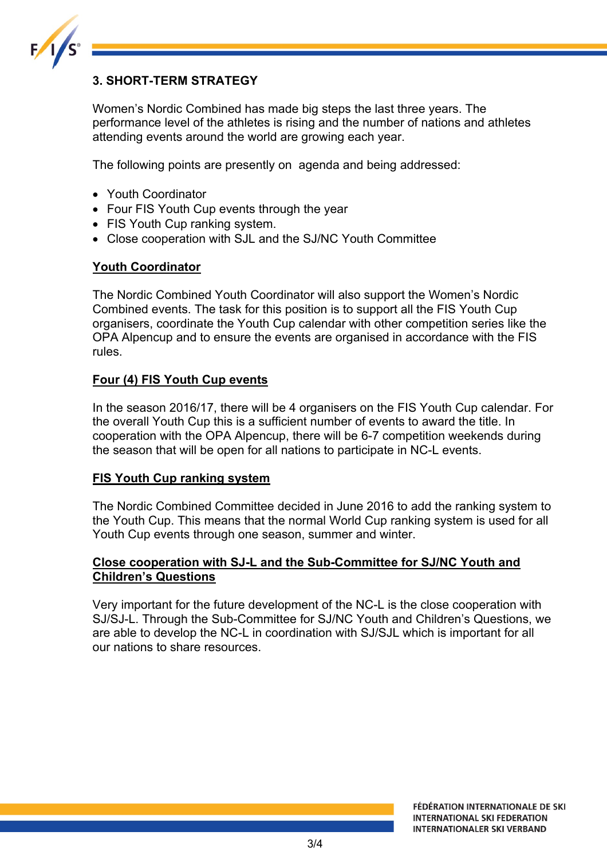

## **3. SHORT-TERM STRATEGY**

Women's Nordic Combined has made big steps the last three years. The performance level of the athletes is rising and the number of nations and athletes attending events around the world are growing each year.

The following points are presently on agenda and being addressed:

- Youth Coordinator
- Four FIS Youth Cup events through the year
- FIS Youth Cup ranking system.
- Close cooperation with SJL and the SJ/NC Youth Committee

#### **Youth Coordinator**

The Nordic Combined Youth Coordinator will also support the Women's Nordic Combined events. The task for this position is to support all the FIS Youth Cup organisers, coordinate the Youth Cup calendar with other competition series like the OPA Alpencup and to ensure the events are organised in accordance with the FIS rules.

#### **Four (4) FIS Youth Cup events**

In the season 2016/17, there will be 4 organisers on the FIS Youth Cup calendar. For the overall Youth Cup this is a sufficient number of events to award the title. In cooperation with the OPA Alpencup, there will be 6-7 competition weekends during the season that will be open for all nations to participate in NC-L events.

#### **FIS Youth Cup ranking system**

The Nordic Combined Committee decided in June 2016 to add the ranking system to the Youth Cup. This means that the normal World Cup ranking system is used for all Youth Cup events through one season, summer and winter.

#### **Close cooperation with SJ-L and the Sub-Committee for SJ/NC Youth and Children's Questions**

Very important for the future development of the NC-L is the close cooperation with SJ/SJ-L. Through the Sub-Committee for SJ/NC Youth and Children's Questions, we are able to develop the NC-L in coordination with SJ/SJL which is important for all our nations to share resources.